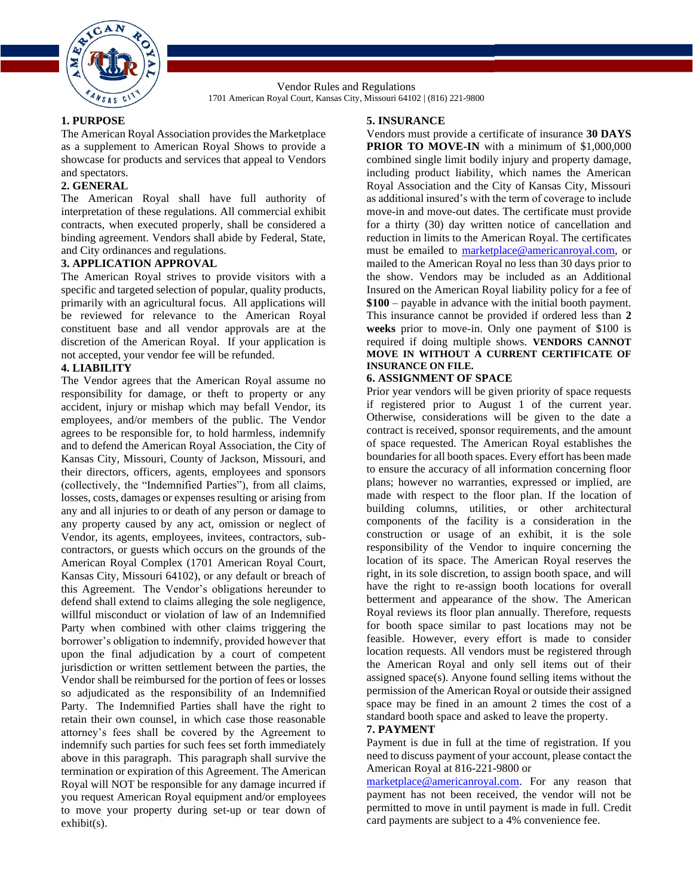

Vendor Rules and Regulations 1701 American Royal Court, Kansas City, Missouri 64102 | (816) 221-9800

# **1. PURPOSE**

The American Royal Association provides the Marketplace as a supplement to American Royal Shows to provide a showcase for products and services that appeal to Vendors and spectators.

# **2. GENERAL**

The American Royal shall have full authority of interpretation of these regulations. All commercial exhibit contracts, when executed properly, shall be considered a binding agreement. Vendors shall abide by Federal, State, and City ordinances and regulations.

## **3. APPLICATION APPROVAL**

The American Royal strives to provide visitors with a specific and targeted selection of popular, quality products, primarily with an agricultural focus. All applications will be reviewed for relevance to the American Royal constituent base and all vendor approvals are at the discretion of the American Royal. If your application is not accepted, your vendor fee will be refunded.

#### **4. LIABILITY**

The Vendor agrees that the American Royal assume no responsibility for damage, or theft to property or any accident, injury or mishap which may befall Vendor, its employees, and/or members of the public. The Vendor agrees to be responsible for, to hold harmless, indemnify and to defend the American Royal Association, the City of Kansas City, Missouri, County of Jackson, Missouri, and their directors, officers, agents, employees and sponsors (collectively, the "Indemnified Parties"), from all claims, losses, costs, damages or expenses resulting or arising from any and all injuries to or death of any person or damage to any property caused by any act, omission or neglect of Vendor, its agents, employees, invitees, contractors, subcontractors, or guests which occurs on the grounds of the American Royal Complex (1701 American Royal Court, Kansas City, Missouri 64102), or any default or breach of this Agreement. The Vendor's obligations hereunder to defend shall extend to claims alleging the sole negligence, willful misconduct or violation of law of an Indemnified Party when combined with other claims triggering the borrower's obligation to indemnify, provided however that upon the final adjudication by a court of competent jurisdiction or written settlement between the parties, the Vendor shall be reimbursed for the portion of fees or losses so adjudicated as the responsibility of an Indemnified Party. The Indemnified Parties shall have the right to retain their own counsel, in which case those reasonable attorney's fees shall be covered by the Agreement to indemnify such parties for such fees set forth immediately above in this paragraph. This paragraph shall survive the termination or expiration of this Agreement. The American Royal will NOT be responsible for any damage incurred if you request American Royal equipment and/or employees to move your property during set-up or tear down of exhibit(s).

#### **5. INSURANCE**

Vendors must provide a certificate of insurance **30 DAYS PRIOR TO MOVE-IN** with a minimum of \$1,000,000 combined single limit bodily injury and property damage, including product liability, which names the American Royal Association and the City of Kansas City, Missouri as additional insured's with the term of coverage to include move-in and move-out dates. The certificate must provide for a thirty (30) day written notice of cancellation and reduction in limits to the American Royal. The certificates must be emailed to [marketplace@americanroyal.com,](mailto:marketplace@americanroyal.com) or mailed to the American Royal no less than 30 days prior to the show. Vendors may be included as an Additional Insured on the American Royal liability policy for a fee of **\$100** – payable in advance with the initial booth payment. This insurance cannot be provided if ordered less than **2 weeks** prior to move-in. Only one payment of \$100 is required if doing multiple shows. **VENDORS CANNOT MOVE IN WITHOUT A CURRENT CERTIFICATE OF INSURANCE ON FILE.**

#### **6. ASSIGNMENT OF SPACE**

Prior year vendors will be given priority of space requests if registered prior to August 1 of the current year. Otherwise, considerations will be given to the date a contract is received, sponsor requirements, and the amount of space requested. The American Royal establishes the boundaries for all booth spaces. Every effort has been made to ensure the accuracy of all information concerning floor plans; however no warranties, expressed or implied, are made with respect to the floor plan. If the location of building columns, utilities, or other architectural components of the facility is a consideration in the construction or usage of an exhibit, it is the sole responsibility of the Vendor to inquire concerning the location of its space. The American Royal reserves the right, in its sole discretion, to assign booth space, and will have the right to re-assign booth locations for overall betterment and appearance of the show. The American Royal reviews its floor plan annually. Therefore, requests for booth space similar to past locations may not be feasible. However, every effort is made to consider location requests. All vendors must be registered through the American Royal and only sell items out of their assigned space(s). Anyone found selling items without the permission of the American Royal or outside their assigned space may be fined in an amount 2 times the cost of a standard booth space and asked to leave the property.

#### **7. PAYMENT**

Payment is due in full at the time of registration. If you need to discuss payment of your account, please contact the American Royal at 816-221-9800 or

[marketplace@americanroyal.com.](mailto:marketplace@americanroyal.com) For any reason that payment has not been received, the vendor will not be permitted to move in until payment is made in full. Credit card payments are subject to a 4% convenience fee.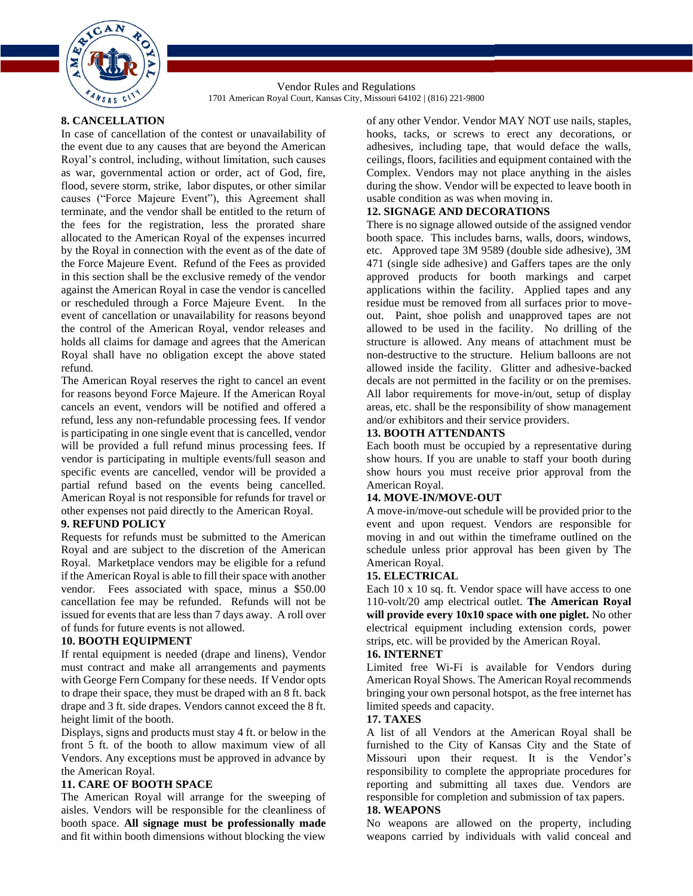

Vendor Rules and Regulations 1701 American Royal Court, Kansas City, Missouri 64102 | (816) 221-9800

# **8. CANCELLATION**

In case of cancellation of the contest or unavailability of the event due to any causes that are beyond the American Royal's control, including, without limitation, such causes as war, governmental action or order, act of God, fire, flood, severe storm, strike, labor disputes, or other similar causes ("Force Majeure Event"), this Agreement shall terminate, and the vendor shall be entitled to the return of the fees for the registration, less the prorated share allocated to the American Royal of the expenses incurred by the Royal in connection with the event as of the date of the Force Majeure Event. Refund of the Fees as provided in this section shall be the exclusive remedy of the vendor against the American Royal in case the vendor is cancelled or rescheduled through a Force Majeure Event. In the event of cancellation or unavailability for reasons beyond the control of the American Royal, vendor releases and holds all claims for damage and agrees that the American Royal shall have no obligation except the above stated refund.

The American Royal reserves the right to cancel an event for reasons beyond Force Majeure. If the American Royal cancels an event, vendors will be notified and offered a refund, less any non-refundable processing fees. If vendor is participating in one single event that is cancelled, vendor will be provided a full refund minus processing fees. If vendor is participating in multiple events/full season and specific events are cancelled, vendor will be provided a partial refund based on the events being cancelled. American Royal is not responsible for refunds for travel or other expenses not paid directly to the American Royal.

# **9. REFUND POLICY**

Requests for refunds must be submitted to the American Royal and are subject to the discretion of the American Royal. Marketplace vendors may be eligible for a refund if the American Royal is able to fill their space with another vendor. Fees associated with space, minus a \$50.00 cancellation fee may be refunded. Refunds will not be issued for events that are less than 7 days away. A roll over of funds for future events is not allowed.

## **10. BOOTH EQUIPMENT**

If rental equipment is needed (drape and linens), Vendor must contract and make all arrangements and payments with George Fern Company for these needs. If Vendor opts to drape their space, they must be draped with an 8 ft. back drape and 3 ft. side drapes. Vendors cannot exceed the 8 ft. height limit of the booth.

Displays, signs and products must stay 4 ft. or below in the front 5 ft. of the booth to allow maximum view of all Vendors. Any exceptions must be approved in advance by the American Royal.

## **11. CARE OF BOOTH SPACE**

The American Royal will arrange for the sweeping of aisles. Vendors will be responsible for the cleanliness of booth space. **All signage must be professionally made** and fit within booth dimensions without blocking the view of any other Vendor. Vendor MAY NOT use nails, staples, hooks, tacks, or screws to erect any decorations, or adhesives, including tape, that would deface the walls, ceilings, floors, facilities and equipment contained with the Complex. Vendors may not place anything in the aisles during the show. Vendor will be expected to leave booth in usable condition as was when moving in.

## **12. SIGNAGE AND DECORATIONS**

There is no signage allowed outside of the assigned vendor booth space. This includes barns, walls, doors, windows, etc. Approved tape 3M 9589 (double side adhesive), 3M 471 (single side adhesive) and Gaffers tapes are the only approved products for booth markings and carpet applications within the facility. Applied tapes and any residue must be removed from all surfaces prior to moveout. Paint, shoe polish and unapproved tapes are not allowed to be used in the facility. No drilling of the structure is allowed. Any means of attachment must be non-destructive to the structure. Helium balloons are not allowed inside the facility. Glitter and adhesive-backed decals are not permitted in the facility or on the premises. All labor requirements for move-in/out, setup of display areas, etc. shall be the responsibility of show management and/or exhibitors and their service providers.

# **13. BOOTH ATTENDANTS**

Each booth must be occupied by a representative during show hours. If you are unable to staff your booth during show hours you must receive prior approval from the American Royal.

## **14. MOVE-IN/MOVE-OUT**

A move-in/move-out schedule will be provided prior to the event and upon request. Vendors are responsible for moving in and out within the timeframe outlined on the schedule unless prior approval has been given by The American Royal.

## **15. ELECTRICAL**

Each 10 x 10 sq. ft. Vendor space will have access to one 110-volt/20 amp electrical outlet. **The American Royal will provide every 10x10 space with one piglet.** No other electrical equipment including extension cords, power strips, etc. will be provided by the American Royal.

#### **16. INTERNET**

Limited free Wi-Fi is available for Vendors during American Royal Shows. The American Royal recommends bringing your own personal hotspot, as the free internet has limited speeds and capacity.

#### **17. TAXES**

A list of all Vendors at the American Royal shall be furnished to the City of Kansas City and the State of Missouri upon their request. It is the Vendor's responsibility to complete the appropriate procedures for reporting and submitting all taxes due. Vendors are responsible for completion and submission of tax papers.

# **18. WEAPONS**

No weapons are allowed on the property, including weapons carried by individuals with valid conceal and